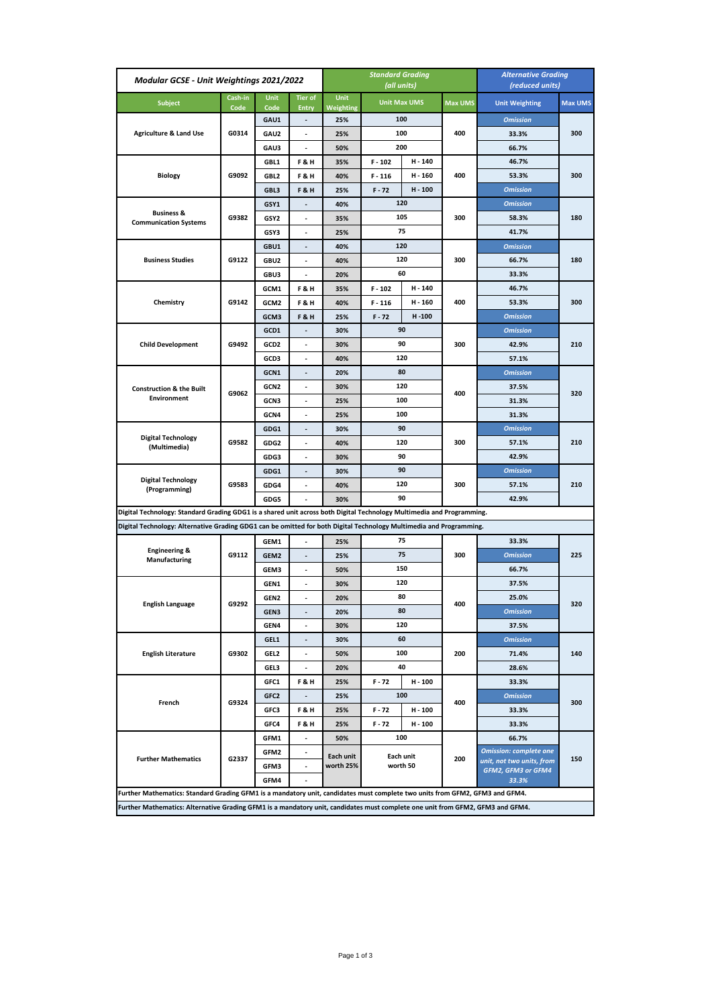| Modular GCSE - Unit Weightings 2021/2022                                                                                       |                 |                     |                                | <b>Standard Grading</b><br>(all units) |                     |           |                | <b>Alternative Grading</b><br>(reduced units)   |         |
|--------------------------------------------------------------------------------------------------------------------------------|-----------------|---------------------|--------------------------------|----------------------------------------|---------------------|-----------|----------------|-------------------------------------------------|---------|
| <b>Subject</b>                                                                                                                 | Cash-in<br>Code | <b>Unit</b><br>Code | <b>Tier of</b><br><b>Entry</b> | Unit<br>Weighting                      | <b>Unit Max UMS</b> |           | <b>Max UMS</b> | <b>Unit Weighting</b>                           | Max UMS |
|                                                                                                                                | G0314           | GAU1                | $\overline{\phantom{a}}$       | 25%                                    |                     | 100       |                | <b>Omission</b>                                 |         |
| <b>Agriculture &amp; Land Use</b>                                                                                              |                 | GAU2                | ÷,                             | 25%                                    |                     | 100       | 400            | 33.3%                                           | 300     |
|                                                                                                                                |                 | GAU3                | ÷,                             | 50%                                    |                     | 200       |                | 66.7%                                           |         |
| <b>Biology</b>                                                                                                                 |                 | GBL1                | <b>F&amp;H</b>                 | 35%                                    | $F - 102$           | H - 140   |                | 46.7%                                           | 300     |
|                                                                                                                                | G9092           | GBL2                | <b>F&amp;H</b>                 | 40%                                    | $F - 116$           | H - 160   | 400            | 53.3%                                           |         |
|                                                                                                                                |                 | GBL3                | F&H                            | 25%                                    | $F - 72$            | H - 100   |                | <b>Omission</b>                                 |         |
| <b>Business &amp;</b><br><b>Communication Systems</b>                                                                          | G9382           | GSY1                |                                | 40%                                    |                     | 120       |                | <b>Omission</b>                                 | 180     |
|                                                                                                                                |                 | GSY2                | $\overline{a}$                 | 35%                                    |                     | 105       | 300            | 58.3%                                           |         |
|                                                                                                                                |                 | GSY3                |                                | 25%                                    |                     | 75        |                | 41.7%                                           |         |
|                                                                                                                                |                 | GBU1                | $\blacksquare$                 | 40%                                    |                     | 120       |                | <b>Omission</b>                                 | 180     |
| <b>Business Studies</b>                                                                                                        | G9122           | GBU2                | ä,                             | 40%                                    |                     | 120       | 300            | 66.7%                                           |         |
|                                                                                                                                |                 | GBU3                | $\overline{\phantom{a}}$       | 20%                                    |                     | 60        |                | 33.3%                                           |         |
|                                                                                                                                |                 | GCM1                | <b>F&amp;H</b>                 | 35%                                    | $F - 102$           | H - 140   |                | 46.7%                                           | 300     |
| Chemistry                                                                                                                      | G9142           | GCM2                | <b>F&amp;H</b>                 | 40%                                    | $F - 116$           | H - 160   | 400            | 53.3%                                           |         |
|                                                                                                                                |                 | GCM3                | F&H                            | 25%                                    | $F - 72$            | $H - 100$ |                | <b>Omission</b>                                 |         |
|                                                                                                                                |                 | GCD1                | ÷,                             | 30%                                    |                     | 90        |                | <b>Omission</b>                                 | 210     |
| <b>Child Development</b>                                                                                                       | G9492           | GCD2                | $\overline{\phantom{a}}$       | 30%                                    |                     | 90        | 300            | 42.9%                                           |         |
|                                                                                                                                |                 | GCD3                | $\overline{a}$                 | 40%                                    |                     | 120       |                | 57.1%                                           |         |
|                                                                                                                                |                 | GCN1                | L.                             | 20%                                    |                     | 80        |                | <b>Omission</b>                                 | 320     |
| <b>Construction &amp; the Built</b>                                                                                            |                 | GCN2                | $\overline{\phantom{a}}$       | 30%                                    |                     | 120       |                | 37.5%                                           |         |
| <b>Environment</b>                                                                                                             | G9062           | GCN3                | $\blacksquare$                 | 25%                                    |                     | 100       | 400            | 31.3%                                           |         |
|                                                                                                                                |                 | GCN4                | ÷,                             | 25%                                    |                     | 100       |                | 31.3%                                           |         |
|                                                                                                                                | G9582           | GDG1                | $\overline{\phantom{a}}$       | 30%                                    |                     | 90        |                | <b>Omission</b>                                 | 210     |
| <b>Digital Technology</b><br>(Multimedia)                                                                                      |                 | GDG2                | $\blacksquare$                 | 40%                                    |                     | 120       | 300            | 57.1%                                           |         |
|                                                                                                                                |                 | GDG3                | $\overline{\phantom{a}}$       | 30%                                    |                     | 90        |                | 42.9%                                           |         |
|                                                                                                                                | G9583           | GDG1                | $\overline{\phantom{a}}$       | 30%                                    |                     | 90        | 300            | <b>Omission</b>                                 | 210     |
| <b>Digital Technology</b><br>(Programming)                                                                                     |                 | GDG4                | $\blacksquare$                 | 40%                                    |                     | 120       |                | 57.1%                                           |         |
|                                                                                                                                |                 | GDG5                | $\blacksquare$                 | 30%                                    |                     | 90        |                | 42.9%                                           |         |
| Digital Technology: Standard Grading GDG1 is a shared unit across both Digital Technology Multimedia and Programming.          |                 |                     |                                |                                        |                     |           |                |                                                 |         |
| Digital Technology: Alternative Grading GDG1 can be omitted for both Digital Technology Multimedia and Programming.            |                 |                     |                                |                                        |                     |           |                |                                                 |         |
|                                                                                                                                | G9112           | GEM1                |                                | 25%                                    |                     | 75        |                | 33.3%                                           | 225     |
| <b>Engineering &amp;</b><br>Manufacturing                                                                                      |                 | GEM2                |                                | 25%                                    |                     | 75        | 300            | <b>Omission</b>                                 |         |
|                                                                                                                                |                 | GEM3                | $\overline{a}$                 | 50%                                    |                     | 150       |                | 66.7%                                           |         |
|                                                                                                                                | G9292           | GEN1                | $\overline{a}$                 | 30%                                    |                     | 120       |                | 37.5%                                           | 320     |
|                                                                                                                                |                 | GEN2                |                                | 20%                                    |                     | 80        |                | 25.0%                                           |         |
| <b>English Language</b>                                                                                                        |                 | GEN3                | $\overline{\phantom{a}}$       | 20%                                    |                     | 80        | 400            | <b>Omission</b>                                 |         |
|                                                                                                                                |                 | GEN4                |                                | 30%                                    |                     | 120       |                | 37.5%                                           |         |
|                                                                                                                                | G9302           | GEL1                |                                | 30%                                    |                     | 60        |                | <b>Omission</b>                                 |         |
| <b>English Literature</b>                                                                                                      |                 | GEL2                | $\overline{\phantom{a}}$       | 50%                                    | 100                 |           | 200            | 71.4%                                           | 140     |
|                                                                                                                                |                 | GEL3                | $\blacksquare$                 | 20%                                    |                     | 40        |                | 28.6%                                           |         |
| French                                                                                                                         |                 | GFC1                | <b>F&amp;H</b>                 | 25%                                    | $F - 72$            | H - 100   | 400            | 33.3%                                           | 300     |
|                                                                                                                                |                 | GFC <sub>2</sub>    | ۰                              | 25%                                    |                     | 100       |                | <b>Omission</b>                                 |         |
|                                                                                                                                | G9324           | GFC3                | F&H                            | 25%                                    | F-72                | H - 100   |                | 33.3%                                           |         |
|                                                                                                                                |                 | GFC4                | F&H                            | 25%                                    | $F - 72$            | H - 100   |                | 33.3%                                           |         |
| <b>Further Mathematics</b>                                                                                                     | G2337           | GFM1                | $\overline{\phantom{a}}$       | 50%                                    |                     | 100       |                | 66.7%                                           |         |
|                                                                                                                                |                 | GFM2                | $\overline{\phantom{a}}$       | Each unit                              |                     | Each unit |                | <b>Omission: complete one</b>                   | 150     |
|                                                                                                                                |                 | GFM3                | $\blacksquare$                 | worth 25%                              | worth 50            |           | 200            | unit, not two units, from<br>GFM2, GFM3 or GFM4 |         |
|                                                                                                                                |                 | GFM4                | $\blacksquare$                 |                                        |                     |           |                | 33.3%                                           |         |
| Further Mathematics: Standard Grading GFM1 is a mandatory unit, candidates must complete two units from GFM2, GFM3 and GFM4.   |                 |                     |                                |                                        |                     |           |                |                                                 |         |
| Further Mathematics: Alternative Grading GFM1 is a mandatory unit, candidates must complete one unit from GFM2, GFM3 and GFM4. |                 |                     |                                |                                        |                     |           |                |                                                 |         |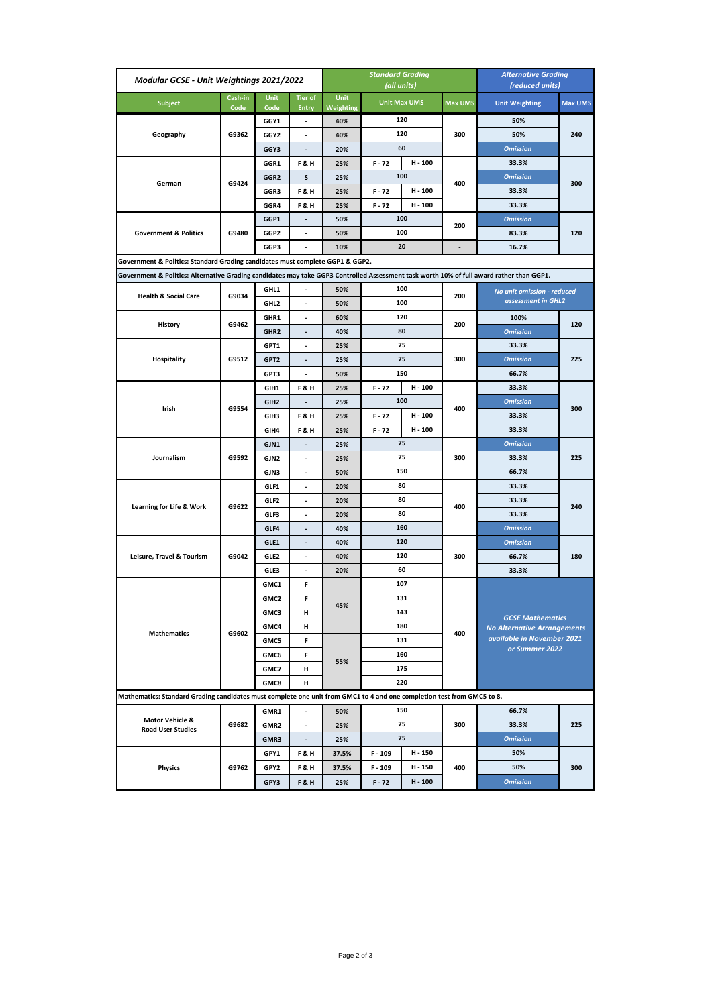| Modular GCSE - Unit Weightings 2021/2022                                                                                                 |                 |                     |                                | <b>Standard Grading</b><br>(all units) |                                                      |         |                | <b>Alternative Grading</b><br>(reduced units)                 |                |  |
|------------------------------------------------------------------------------------------------------------------------------------------|-----------------|---------------------|--------------------------------|----------------------------------------|------------------------------------------------------|---------|----------------|---------------------------------------------------------------|----------------|--|
| <b>Subject</b>                                                                                                                           | Cash-in<br>Code | <b>Unit</b><br>Code | <b>Tier of</b><br><b>Entry</b> | Unit<br>Weighting                      | <b>Unit Max UMS</b>                                  |         | <b>Max UMS</b> | <b>Unit Weighting</b>                                         | <b>Max UMS</b> |  |
| Geography                                                                                                                                | G9362           | GGY1                | $\blacksquare$                 | 40%                                    |                                                      | 120     |                | 50%                                                           |                |  |
|                                                                                                                                          |                 | GGY2                | $\overline{\phantom{a}}$       | 40%                                    |                                                      | 120     | 300            | 50%                                                           | 240            |  |
|                                                                                                                                          |                 | GGY3                | $\overline{\phantom{a}}$       | 20%                                    |                                                      | 60      |                | <b>Omission</b>                                               |                |  |
|                                                                                                                                          | G9424           | GGR1                | <b>F&amp;H</b>                 | 25%                                    | $F - 72$                                             | H - 100 |                | 33.3%                                                         | 300            |  |
| German                                                                                                                                   |                 | GGR2                | s                              | 25%                                    |                                                      | 100     | 400            | <b>Omission</b>                                               |                |  |
|                                                                                                                                          |                 | GGR3                | <b>F&amp;H</b>                 | 25%                                    | F - 72                                               | H-100   |                | 33.3%                                                         |                |  |
|                                                                                                                                          |                 | GGR4                | <b>F&amp;H</b>                 | 25%                                    | $F - 72$                                             | H - 100 |                | 33.3%                                                         |                |  |
| <b>Government &amp; Politics</b>                                                                                                         | G9480           | GGP1                |                                | 50%                                    |                                                      | 100     | 200            | <b>Omission</b>                                               |                |  |
|                                                                                                                                          |                 | GGP2                |                                | 50%                                    |                                                      | 100     |                | 83.3%                                                         | 120            |  |
|                                                                                                                                          |                 | GGP3                |                                | 10%                                    |                                                      | 20      |                | 16.7%                                                         |                |  |
| Government & Politics: Standard Grading candidates must complete GGP1 & GGP2.                                                            |                 |                     |                                |                                        |                                                      |         |                |                                                               |                |  |
| Government & Politics: Alternative Grading candidates may take GGP3 Controlled Assessment task worth 10% of full award rather than GGP1. |                 |                     |                                |                                        |                                                      |         |                |                                                               |                |  |
|                                                                                                                                          |                 | GHL1                | ÷.                             | 50%                                    |                                                      | 100     |                | No unit omission - reduced                                    |                |  |
| <b>Health &amp; Social Care</b>                                                                                                          | G9034           | GHL2                | $\overline{a}$                 | 50%                                    |                                                      | 100     | 200            | assessment in GHL2                                            |                |  |
|                                                                                                                                          |                 | GHR1                | ÷,                             | 60%                                    |                                                      | 120     |                | 100%                                                          | 120            |  |
| History                                                                                                                                  | G9462           | GHR <sub>2</sub>    | $\blacksquare$                 | 40%                                    |                                                      | 80      | 200            | <b>Omission</b>                                               |                |  |
|                                                                                                                                          |                 | GPT1                |                                | 25%                                    |                                                      | 75      |                | 33.3%                                                         | 225            |  |
| Hospitality                                                                                                                              | G9512           | GPT <sub>2</sub>    | $\blacksquare$                 | 25%                                    |                                                      | 75      | 300            | <b>Omission</b>                                               |                |  |
|                                                                                                                                          |                 | GPT3                | $\blacksquare$                 | 50%                                    |                                                      | 150     |                | 66.7%                                                         |                |  |
| Irish                                                                                                                                    | G9554           | GIH1                | <b>F&amp;H</b>                 | 25%                                    | $F - 72$                                             | H-100   |                | 33.3%                                                         | 300            |  |
|                                                                                                                                          |                 | GIH <sub>2</sub>    | $\overline{\phantom{a}}$       | 25%                                    |                                                      | 100     | 400            | <b>Omission</b>                                               |                |  |
|                                                                                                                                          |                 | GIH3                | <b>F&amp;H</b>                 | 25%                                    | $F - 72$                                             | H - 100 |                | 33.3%                                                         |                |  |
|                                                                                                                                          |                 | GIH4                | <b>F&amp;H</b>                 | 25%                                    | $F - 72$                                             | H - 100 |                | 33.3%                                                         |                |  |
|                                                                                                                                          | G9592           | GJN1                | $\blacksquare$                 | 25%                                    |                                                      | 75      | 300            | <b>Omission</b>                                               | 225            |  |
| Journalism                                                                                                                               |                 | GJN2                | $\blacksquare$                 | 25%                                    |                                                      | 75      |                | 33.3%                                                         |                |  |
|                                                                                                                                          |                 | GJN3                | $\overline{\phantom{a}}$       | 50%                                    |                                                      | 150     |                | 66.7%                                                         |                |  |
|                                                                                                                                          | G9622           | GLF1                | $\overline{\phantom{a}}$       | 20%                                    |                                                      | 80      | 400            | 33.3%                                                         | 240            |  |
|                                                                                                                                          |                 | GLF2                | $\overline{\phantom{a}}$       | 20%                                    |                                                      | 80      |                | 33.3%                                                         |                |  |
| Learning for Life & Work                                                                                                                 |                 | GLF3                | $\overline{\phantom{a}}$       | 20%                                    |                                                      | 80      |                | 33.3%                                                         |                |  |
|                                                                                                                                          |                 | GLF4                | $\overline{\phantom{a}}$       | 40%                                    |                                                      | 160     |                | <b>Omission</b>                                               |                |  |
|                                                                                                                                          | G9042           | GLE1                | $\overline{\phantom{a}}$       | 40%                                    |                                                      | 120     |                | <b>Omission</b>                                               | 180            |  |
| Leisure, Travel & Tourism                                                                                                                |                 | GLE2                | $\blacksquare$                 | 40%                                    |                                                      | 120     | 300            | 66.7%                                                         |                |  |
|                                                                                                                                          |                 | GLE3                | ä,                             | 20%                                    |                                                      | 60      |                | 33.3%                                                         |                |  |
| <b>Mathematics</b>                                                                                                                       | G9602           | GMC1                | F                              | 45%                                    | 107<br>131<br>143<br>180<br>131<br>160<br>175<br>220 |         | 400            | <b>GCSE Mathematics</b><br><b>No Alternative Arrangements</b> |                |  |
|                                                                                                                                          |                 | GMC2                | F                              |                                        |                                                      |         |                |                                                               |                |  |
|                                                                                                                                          |                 | GMC3                | н                              |                                        |                                                      |         |                |                                                               |                |  |
|                                                                                                                                          |                 | GMC4                | н                              |                                        |                                                      |         |                |                                                               |                |  |
|                                                                                                                                          |                 | GMC5                | F                              |                                        |                                                      |         |                | available in November 2021                                    |                |  |
|                                                                                                                                          |                 | GMC6                | F                              | 55%                                    |                                                      |         |                | or Summer 2022                                                |                |  |
|                                                                                                                                          |                 | GMC7                | н                              |                                        |                                                      |         |                |                                                               |                |  |
|                                                                                                                                          |                 | GMC8                | н                              |                                        |                                                      |         |                |                                                               |                |  |
| Mathematics: Standard Grading candidates must complete one unit from GMC1 to 4 and one completion test from GMC5 to 8.                   |                 |                     |                                |                                        |                                                      |         |                |                                                               |                |  |
|                                                                                                                                          | G9682           | GMR1                |                                | 50%                                    | 150<br>75                                            |         | 300            | 66.7%                                                         |                |  |
| Motor Vehicle &<br><b>Road User Studies</b>                                                                                              |                 | GMR2                | $\blacksquare$                 | 25%                                    |                                                      |         |                | 33.3%                                                         | 225            |  |
|                                                                                                                                          |                 | GMR3                | $\overline{\phantom{a}}$       | 25%                                    |                                                      | 75      |                | <b>Omission</b>                                               |                |  |
|                                                                                                                                          |                 | GPY1                | F&H                            | 37.5%                                  | $F - 109$                                            | H - 150 |                | 50%                                                           | 300            |  |
| <b>Physics</b>                                                                                                                           | G9762           | GPY2                | F&H                            | 37.5%                                  | F-109                                                | H - 150 | 400            | 50%                                                           |                |  |
|                                                                                                                                          |                 | GPY3                | F&H                            | 25%                                    | $F - 72$                                             | H - 100 |                | <b>Omission</b>                                               |                |  |